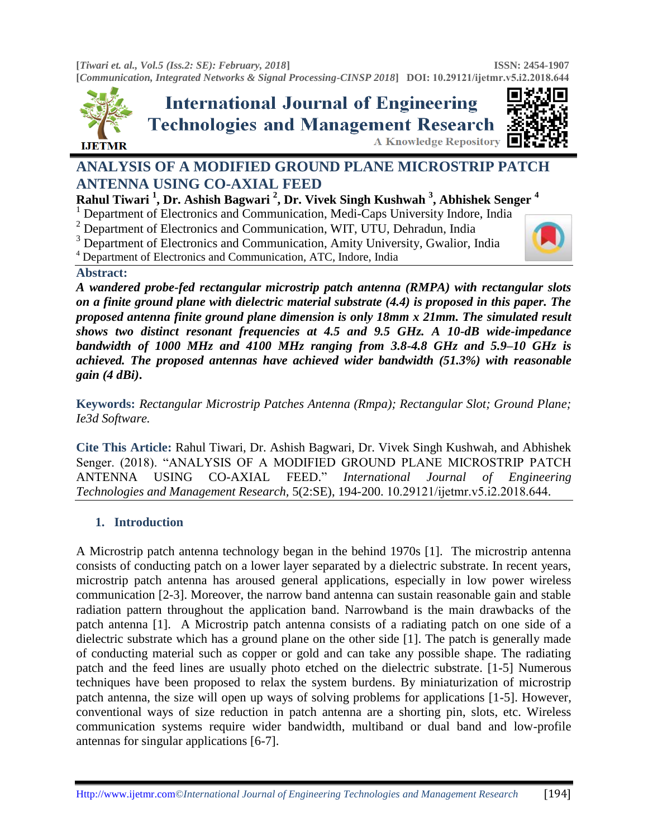**[***Tiwari et. al., Vol.5 (Iss.2: SE): February, 2018***] [***Communication, Integrated Networks & Signal Processing-CINSP 2018***] DOI: [10.29121/ijetmr.](http://www.ijetmr.com/)v5.i2.2018.644 ISSN: 2454-1907** 



**International Journal of Engineering Technologies and Management Research** A Knowledge Repository



# **ANALYSIS OF A MODIFIED GROUND PLANE MICROSTRIP PATCH ANTENNA USING CO-AXIAL FEED**

## **Rahul Tiwari <sup>1</sup> , Dr. Ashish Bagwari <sup>2</sup> , Dr. Vivek Singh Kushwah <sup>3</sup> , Abhishek Senger <sup>4</sup>**

<sup>1</sup> Department of Electronics and Communication, Medi-Caps University Indore, India

<sup>2</sup> Department of Electronics and Communication, WIT, UTU, Dehradun, India

<sup>3</sup> Department of Electronics and Communication, Amity University, Gwalior, India

<sup>4</sup> Department of Electronics and Communication, ATC, Indore, India

#### **Abstract:**

*A wandered probe-fed rectangular microstrip patch antenna (RMPA) with rectangular slots on a finite ground plane with dielectric material substrate (4.4) is proposed in this paper. The proposed antenna finite ground plane dimension is only 18mm x 21mm. The simulated result shows two distinct resonant frequencies at 4.5 and 9.5 GHz. A 10-dB wide-impedance bandwidth of 1000 MHz and 4100 MHz ranging from 3.8-4.8 GHz and 5.9–10 GHz is achieved. The proposed antennas have achieved wider bandwidth (51.3%) with reasonable gain (4 dBi)***.**

**Keywords:** *Rectangular Microstrip Patches Antenna (Rmpa); Rectangular Slot; Ground Plane; Ie3d Software.* 

**Cite This Article:** Rahul Tiwari, Dr. Ashish Bagwari, Dr. Vivek Singh Kushwah, and Abhishek Senger. (2018). "ANALYSIS OF A MODIFIED GROUND PLANE MICROSTRIP PATCH ANTENNA USING CO-AXIAL FEED." *International Journal of Engineering Technologies and Management Research,* 5(2:SE), 194-200. 10.29121/ijetmr.v5.i2.2018.644.

# **1. Introduction**

A Microstrip patch antenna technology began in the behind 1970s [1]. The microstrip antenna consists of conducting patch on a lower layer separated by a dielectric substrate. In recent years, microstrip patch antenna has aroused general applications, especially in low power wireless communication [2-3]. Moreover, the narrow band antenna can sustain reasonable gain and stable radiation pattern throughout the application band. Narrowband is the main drawbacks of the patch antenna [1]. A Microstrip patch antenna consists of a radiating patch on one side of a dielectric substrate which has a ground plane on the other side [1]. The patch is generally made of conducting material such as copper or gold and can take any possible shape. The radiating patch and the feed lines are usually photo etched on the dielectric substrate. [1-5] Numerous techniques have been proposed to relax the system burdens. By miniaturization of microstrip patch antenna, the size will open up ways of solving problems for applications [1-5]. However, conventional ways of size reduction in patch antenna are a shorting pin, slots, etc. Wireless communication systems require wider bandwidth, multiband or dual band and low-profile antennas for singular applications [6-7].

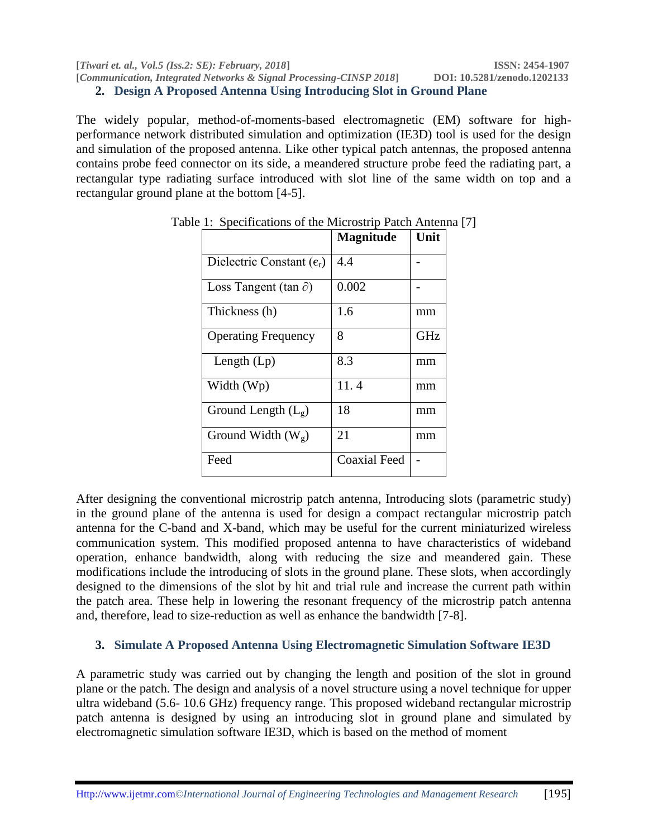**[***Tiwari et. al., Vol.5 (Iss.2: SE): February, 2018***] ISSN: 2454-1907 [***Communication, Integrated Networks & Signal Processing-CINSP 2018***] DOI: 10.5281/zenodo.1202133 2. Design A Proposed Antenna Using Introducing Slot in Ground Plane**

The widely popular, method-of-moments-based electromagnetic (EM) software for highperformance network distributed simulation and optimization (IE3D) tool is used for the design and simulation of the proposed antenna. Like other typical patch antennas, the proposed antenna contains probe feed connector on its side, a meandered structure probe feed the radiating part, a rectangular type radiating surface introduced with slot line of the same width on top and a rectangular ground plane at the bottom [4-5].

|                                      | <b>Magnitude</b>    | Unit |
|--------------------------------------|---------------------|------|
| Dielectric Constant $(\epsilon_{r})$ | 4.4                 |      |
| Loss Tangent (tan $\partial$ )       | 0.002               |      |
| Thickness (h)                        | 1.6                 | mm   |
| <b>Operating Frequency</b>           | 8                   | GHz  |
| Length $(Lp)$                        | 8.3                 | mm   |
| Width (Wp)                           | 11.4                | mm   |
| Ground Length $(L_g)$                | 18                  | mm   |
| Ground Width $(W_g)$                 | 21                  | mm   |
| Feed                                 | <b>Coaxial Feed</b> |      |

Table 1: Specifications of the Microstrip Patch Antenna [7]

After designing the conventional microstrip patch antenna, Introducing slots (parametric study) in the ground plane of the antenna is used for design a compact rectangular microstrip patch antenna for the C-band and X-band, which may be useful for the current miniaturized wireless communication system. This modified proposed antenna to have characteristics of wideband operation, enhance bandwidth, along with reducing the size and meandered gain. These modifications include the introducing of slots in the ground plane. These slots, when accordingly designed to the dimensions of the slot by hit and trial rule and increase the current path within the patch area. These help in lowering the resonant frequency of the microstrip patch antenna and, therefore, lead to size-reduction as well as enhance the bandwidth [7-8].

## **3. Simulate A Proposed Antenna Using Electromagnetic Simulation Software IE3D**

A parametric study was carried out by changing the length and position of the slot in ground plane or the patch. The design and analysis of a novel structure using a novel technique for upper ultra wideband (5.6- 10.6 GHz) frequency range. This proposed wideband rectangular microstrip patch antenna is designed by using an introducing slot in ground plane and simulated by electromagnetic simulation software IE3D, which is based on the method of moment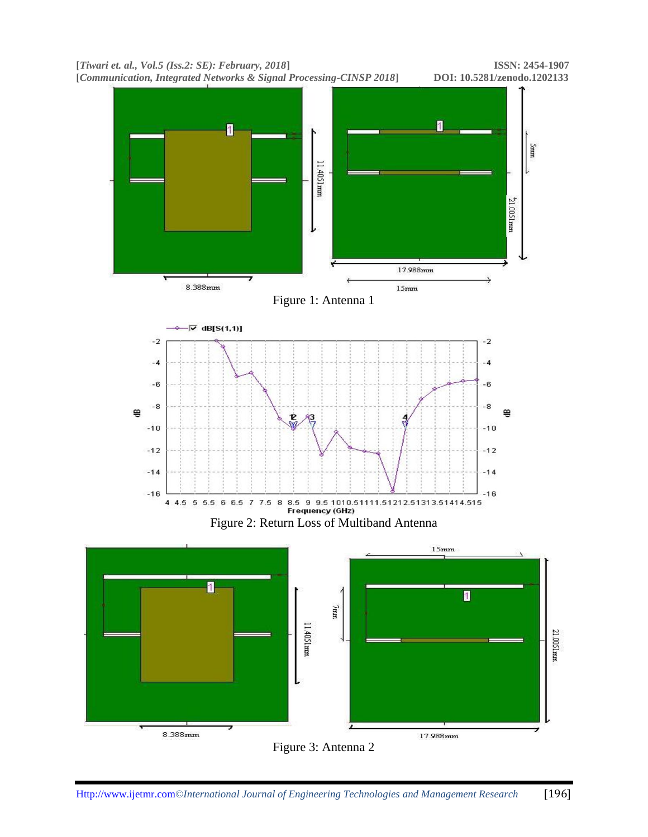

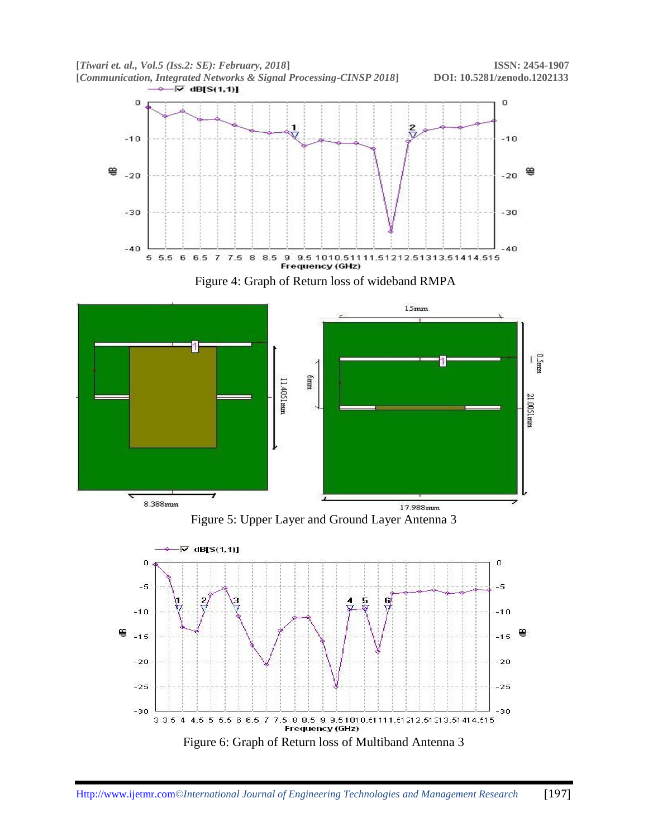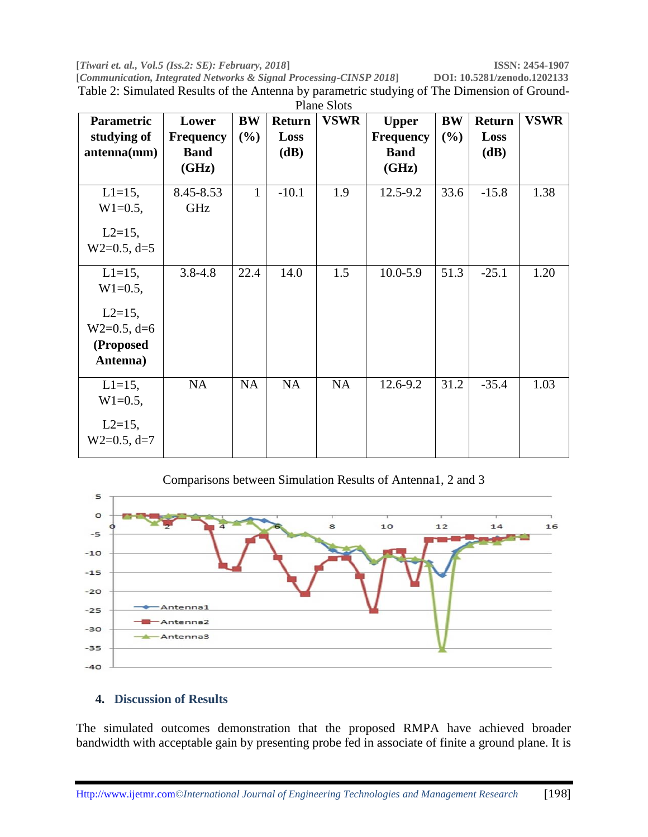**[***Tiwari et. al., Vol.5 (Iss.2: SE): February, 2018***] ISSN: 2454-1907 [Communication, Integrated Networks & Signal Processing-CINSP 2018]** Table 2: Simulated Results of the Antenna by parametric studying of The Dimension of Ground-Plane Slots

| Parametric                                              | Lower                | <b>BW</b>    | <b>Return</b> | <b>VSWR</b> | <b>Upper</b>         | <b>BW</b> | <b>Return</b> | <b>VSWR</b> |
|---------------------------------------------------------|----------------------|--------------|---------------|-------------|----------------------|-----------|---------------|-------------|
| studying of                                             | <b>Frequency</b>     | (%)          | Loss          |             | <b>Frequency</b>     | (%)       | Loss          |             |
| antenna(mm)                                             | <b>Band</b><br>(GHz) |              | (dB)          |             | <b>Band</b><br>(GHz) |           | (dB)          |             |
| $L1 = 15$ ,<br>$W1=0.5$ ,                               | 8.45-8.53<br>GHz     | $\mathbf{1}$ | $-10.1$       | 1.9         | 12.5-9.2             | 33.6      | $-15.8$       | 1.38        |
| $L2=15$ ,<br>$W2=0.5, d=5$                              |                      |              |               |             |                      |           |               |             |
| $L1 = 15$ ,<br>$W1=0.5$ ,                               | $3.8 - 4.8$          | 22.4         | 14.0          | 1.5         | $10.0 - 5.9$         | 51.3      | $-25.1$       | 1.20        |
| $L2=15$ ,<br>$W2=0.5, d=6$<br>(Proposed<br>Antenna)     |                      |              |               |             |                      |           |               |             |
| $L1 = 15$ ,<br>$W1=0.5$ ,<br>$L2=15$ ,<br>$W2=0.5, d=7$ | <b>NA</b>            | <b>NA</b>    | NA            | NA          | 12.6-9.2             | 31.2      | $-35.4$       | 1.03        |

Comparisons between Simulation Results of Antenna1, 2 and 3



#### **4. Discussion of Results**

The simulated outcomes demonstration that the proposed RMPA have achieved broader bandwidth with acceptable gain by presenting probe fed in associate of finite a ground plane. It is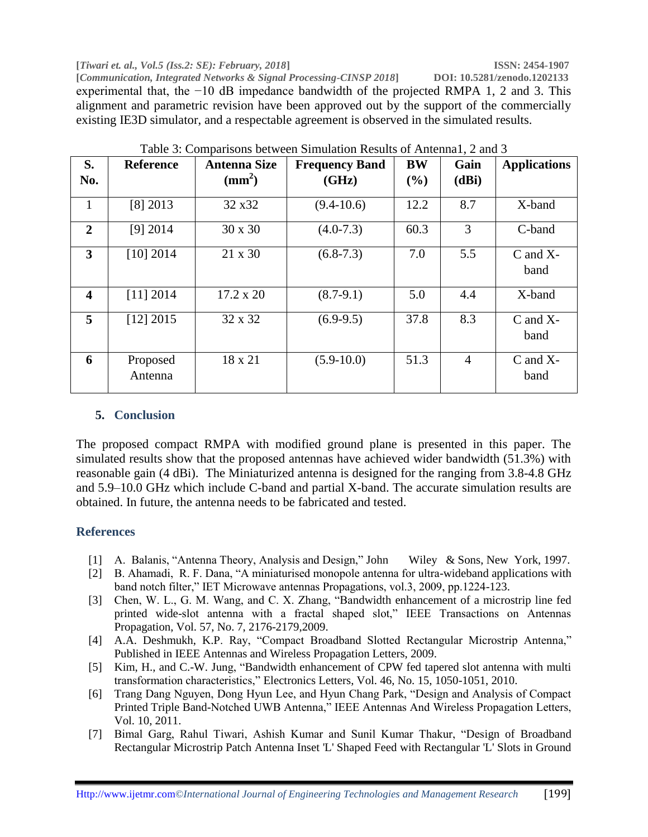**[***Tiwari et. al., Vol.5 (Iss.2: SE): February, 2018***] ISSN: 2454-1907 [Communication, Integrated Networks & Signal Processing-CINSP 2018]** experimental that, the −10 dB impedance bandwidth of the projected RMPA 1, 2 and 3. This alignment and parametric revision have been approved out by the support of the commercially existing IE3D simulator, and a respectable agreement is observed in the simulated results.

| S.<br>No.               | <b>Reference</b>    | <b>Antenna Size</b><br>$\text{m}^2$ | <b>Frequency Band</b><br>(GHz) | <b>BW</b><br>(%) | Gain<br>(dBi)  | <b>Applications</b>   |
|-------------------------|---------------------|-------------------------------------|--------------------------------|------------------|----------------|-----------------------|
| 1                       | $[8]$ 2013          | 32 x 32                             | $(9.4 - 10.6)$                 | 12.2             | 8.7            | X-band                |
| $\overline{2}$          | $[9]$ 2014          | 30 x 30                             | $(4.0 - 7.3)$                  | 60.3             | 3              | C-band                |
| 3                       | [10] 2014           | 21 x 30                             | $(6.8-7.3)$                    | 7.0              | 5.5            | $C$ and $X$ -<br>band |
| $\overline{\mathbf{4}}$ | [11] 2014           | 17.2 x 20                           | $(8.7-9.1)$                    | 5.0              | 4.4            | X-band                |
| 5                       | [12] 2015           | 32 x 32                             | $(6.9-9.5)$                    | 37.8             | 8.3            | $C$ and $X-$<br>band  |
| 6                       | Proposed<br>Antenna | 18 x 21                             | $(5.9-10.0)$                   | 51.3             | $\overline{4}$ | $C$ and $X$ -<br>band |

Table 3: Comparisons between Simulation Results of Antenna1, 2 and 3

#### **5. Conclusion**

The proposed compact RMPA with modified ground plane is presented in this paper. The simulated results show that the proposed antennas have achieved wider bandwidth (51.3%) with reasonable gain (4 dBi). The Miniaturized antenna is designed for the ranging from 3.8-4.8 GHz and 5.9–10.0 GHz which include C-band and partial X-band. The accurate simulation results are obtained. In future, the antenna needs to be fabricated and tested.

## **References**

- [1] A. Balanis, "Antenna Theory, Analysis and Design," John Wiley & Sons, New York, 1997.
- [2] B. Ahamadi, R. F. Dana, "A miniaturised monopole antenna for ultra-wideband applications with band notch filter," IET Microwave antennas Propagations, vol.3, 2009, pp.1224-123.
- [3] Chen, W. L., G. M. Wang, and C. X. Zhang, "Bandwidth enhancement of a microstrip line fed printed wide-slot antenna with a fractal shaped slot," IEEE Transactions on Antennas Propagation, Vol. 57, No. 7, 2176-2179,2009.
- [4] A.A. Deshmukh, K.P. Ray, "Compact Broadband Slotted Rectangular Microstrip Antenna," Published in IEEE Antennas and Wireless Propagation Letters, 2009.
- [5] Kim, H., and C.-W. Jung, "Bandwidth enhancement of CPW fed tapered slot antenna with multi transformation characteristics," Electronics Letters, Vol. 46, No. 15, 1050-1051, 2010.
- [6] Trang Dang Nguyen, Dong Hyun Lee, and Hyun Chang Park, "Design and Analysis of Compact Printed Triple Band-Notched UWB Antenna," IEEE Antennas And Wireless Propagation Letters, Vol. 10, 2011.
- [7] Bimal Garg, Rahul Tiwari, Ashish Kumar and Sunil Kumar Thakur, "Design of Broadband Rectangular Microstrip Patch Antenna Inset 'L' Shaped Feed with Rectangular 'L' Slots in Ground